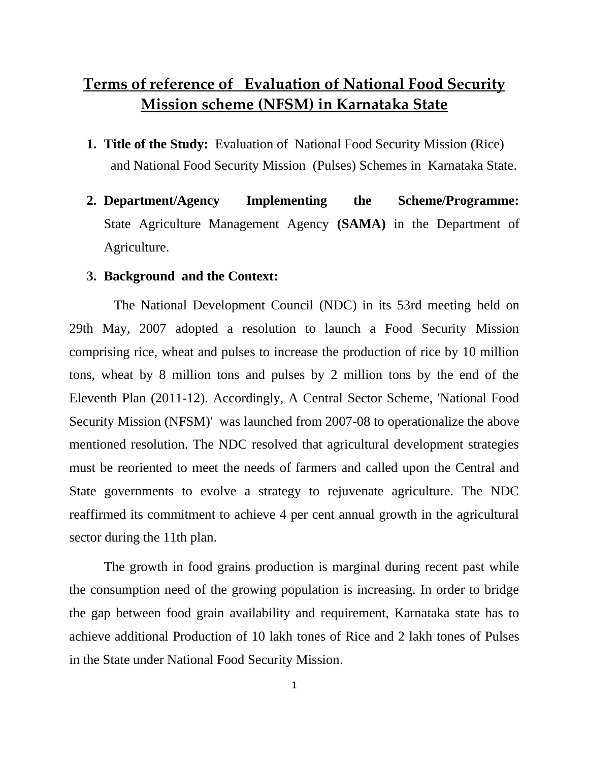# **Terms of reference of Evaluation of National Food Security Mission scheme (NFSM) in Karnataka State**

- **1. Title of the Study:** Evaluation of National Food Security Mission (Rice) and National Food Security Mission (Pulses) Schemes in Karnataka State.
- **2. Department/Agency Implementing the Scheme/Programme:**  State Agriculture Management Agency **(SAMA)** in the Department of Agriculture.

#### **3. Background and the Context:**

 The National Development Council (NDC) in its 53rd meeting held on 29th May, 2007 adopted a resolution to launch a Food Security Mission comprising rice, wheat and pulses to increase the production of rice by 10 million tons, wheat by 8 million tons and pulses by 2 million tons by the end of the Eleventh Plan (2011-12). Accordingly, A Central Sector Scheme, 'National Food Security Mission (NFSM)' was launched from 2007-08 to operationalize the above mentioned resolution. The NDC resolved that agricultural development strategies must be reoriented to meet the needs of farmers and called upon the Central and State governments to evolve a strategy to rejuvenate agriculture. The NDC reaffirmed its commitment to achieve 4 per cent annual growth in the agricultural sector during the 11th plan.

The growth in food grains production is marginal during recent past while the consumption need of the growing population is increasing. In order to bridge the gap between food grain availability and requirement, Karnataka state has to achieve additional Production of 10 lakh tones of Rice and 2 lakh tones of Pulses in the State under National Food Security Mission.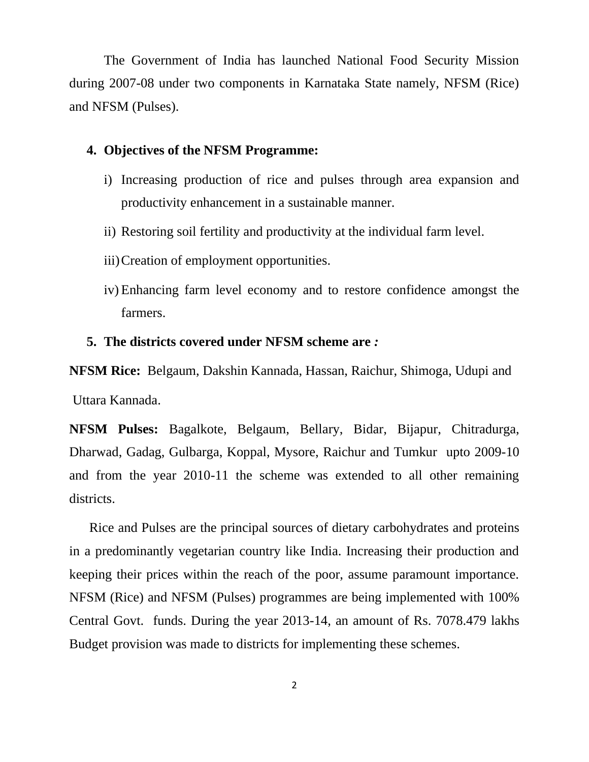The Government of India has launched National Food Security Mission during 2007-08 under two components in Karnataka State namely, NFSM (Rice) and NFSM (Pulses).

### **4. Objectives of the NFSM Programme:**

- i) Increasing production of rice and pulses through area expansion and productivity enhancement in a sustainable manner.
- ii) Restoring soil fertility and productivity at the individual farm level.
- iii)Creation of employment opportunities.
- iv) Enhancing farm level economy and to restore confidence amongst the farmers.

#### **5. The districts covered under NFSM scheme are** *:*

**NFSM Rice:** Belgaum, Dakshin Kannada, Hassan, Raichur, Shimoga, Udupi and Uttara Kannada.

**NFSM Pulses:** Bagalkote, Belgaum, Bellary, Bidar, Bijapur, Chitradurga, Dharwad, Gadag, Gulbarga, Koppal, Mysore, Raichur and Tumkur upto 2009-10 and from the year 2010-11 the scheme was extended to all other remaining districts.

 Rice and Pulses are the principal sources of dietary carbohydrates and proteins in a predominantly vegetarian country like India. Increasing their production and keeping their prices within the reach of the poor, assume paramount importance. NFSM (Rice) and NFSM (Pulses) programmes are being implemented with 100% Central Govt. funds. During the year 2013-14, an amount of Rs. 7078.479 lakhs Budget provision was made to districts for implementing these schemes.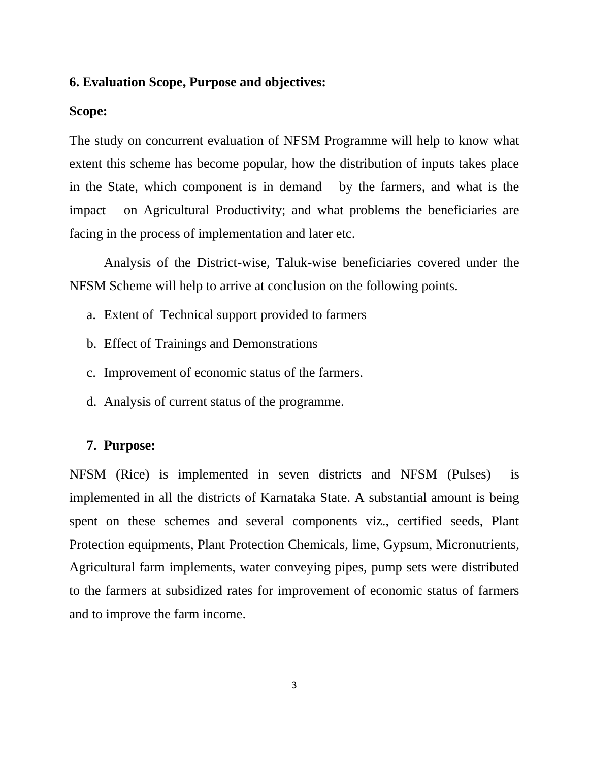#### **6. Evaluation Scope, Purpose and objectives:**

#### **Scope:**

The study on concurrent evaluation of NFSM Programme will help to know what extent this scheme has become popular, how the distribution of inputs takes place in the State, which component is in demand by the farmers, and what is the impact on Agricultural Productivity; and what problems the beneficiaries are facing in the process of implementation and later etc.

Analysis of the District-wise, Taluk-wise beneficiaries covered under the NFSM Scheme will help to arrive at conclusion on the following points.

- a. Extent of Technical support provided to farmers
- b. Effect of Trainings and Demonstrations
- c. Improvement of economic status of the farmers.
- d. Analysis of current status of the programme.

#### **7. Purpose:**

NFSM (Rice) is implemented in seven districts and NFSM (Pulses) is implemented in all the districts of Karnataka State. A substantial amount is being spent on these schemes and several components viz., certified seeds, Plant Protection equipments, Plant Protection Chemicals, lime, Gypsum, Micronutrients, Agricultural farm implements, water conveying pipes, pump sets were distributed to the farmers at subsidized rates for improvement of economic status of farmers and to improve the farm income.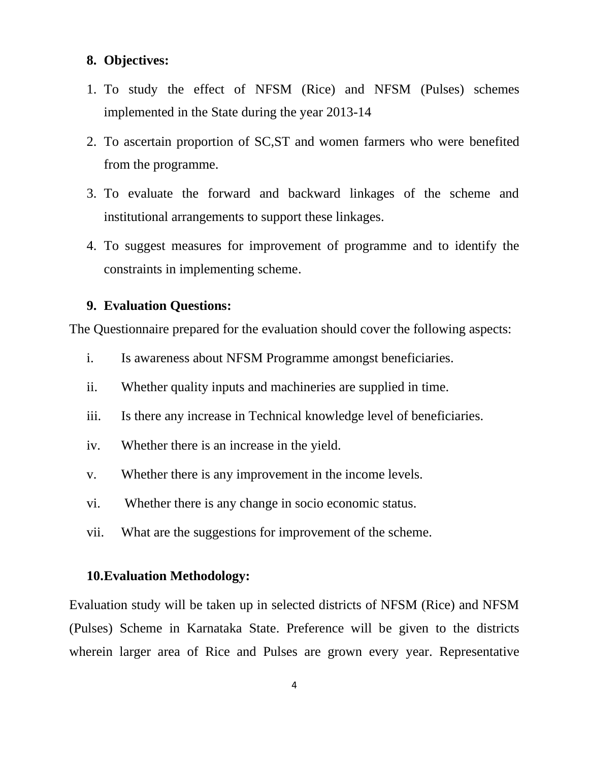#### **8. Objectives:**

- 1. To study the effect of NFSM (Rice) and NFSM (Pulses) schemes implemented in the State during the year 2013-14
- 2. To ascertain proportion of SC,ST and women farmers who were benefited from the programme.
- 3. To evaluate the forward and backward linkages of the scheme and institutional arrangements to support these linkages.
- 4. To suggest measures for improvement of programme and to identify the constraints in implementing scheme.

### **9. Evaluation Questions:**

The Questionnaire prepared for the evaluation should cover the following aspects:

- i. Is awareness about NFSM Programme amongst beneficiaries.
- ii. Whether quality inputs and machineries are supplied in time.
- iii. Is there any increase in Technical knowledge level of beneficiaries.
- iv. Whether there is an increase in the yield.
- v. Whether there is any improvement in the income levels.
- vi. Whether there is any change in socio economic status.
- vii. What are the suggestions for improvement of the scheme.

### **10.Evaluation Methodology:**

Evaluation study will be taken up in selected districts of NFSM (Rice) and NFSM (Pulses) Scheme in Karnataka State. Preference will be given to the districts wherein larger area of Rice and Pulses are grown every year. Representative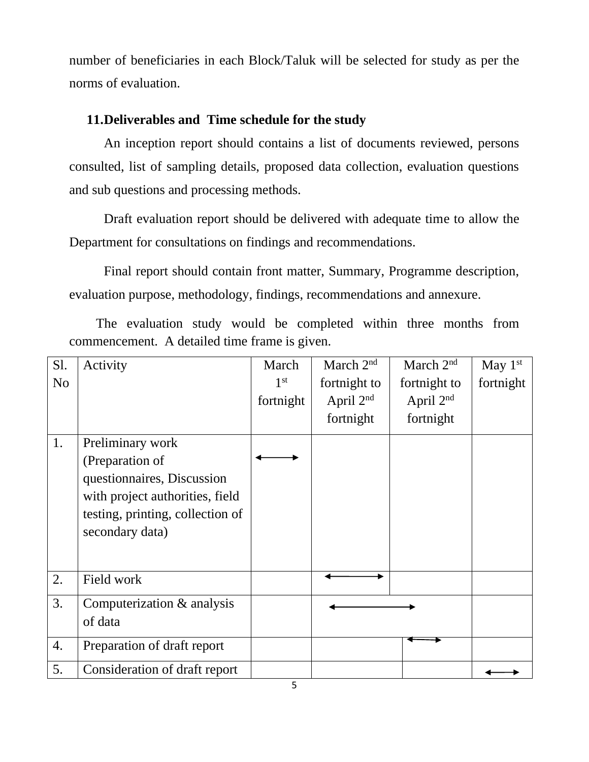number of beneficiaries in each Block/Taluk will be selected for study as per the norms of evaluation.

## **11.Deliverables and Time schedule for the study**

An inception report should contains a list of documents reviewed, persons consulted, list of sampling details, proposed data collection, evaluation questions and sub questions and processing methods.

Draft evaluation report should be delivered with adequate time to allow the Department for consultations on findings and recommendations.

Final report should contain front matter, Summary, Programme description, evaluation purpose, methodology, findings, recommendations and annexure.

 The evaluation study would be completed within three months from commencement. A detailed time frame is given.

| S1.            | Activity                         | March           | March 2 <sup>nd</sup> | March 2 <sup>nd</sup> | May 1st   |
|----------------|----------------------------------|-----------------|-----------------------|-----------------------|-----------|
| N <sub>o</sub> |                                  | 1 <sup>st</sup> | fortnight to          | fortnight to          | fortnight |
|                |                                  | fortnight       | April 2 <sup>nd</sup> | April 2 <sup>nd</sup> |           |
|                |                                  |                 | fortnight             | fortnight             |           |
| 1.             | Preliminary work                 |                 |                       |                       |           |
|                | (Preparation of                  |                 |                       |                       |           |
|                | questionnaires, Discussion       |                 |                       |                       |           |
|                | with project authorities, field  |                 |                       |                       |           |
|                | testing, printing, collection of |                 |                       |                       |           |
|                | secondary data)                  |                 |                       |                       |           |
|                |                                  |                 |                       |                       |           |
| 2.             | Field work                       |                 |                       |                       |           |
|                |                                  |                 |                       |                       |           |
| 3.             | Computerization & analysis       |                 |                       |                       |           |
|                | of data                          |                 |                       |                       |           |
| 4.             | Preparation of draft report      |                 |                       |                       |           |
| 5.             | Consideration of draft report    |                 |                       |                       |           |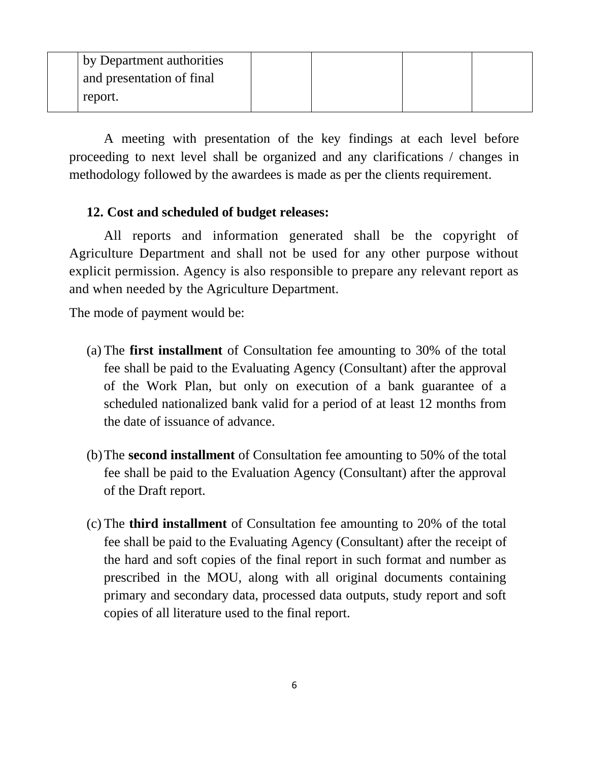| by Department authorities<br>and presentation of final |  |  |
|--------------------------------------------------------|--|--|
| report.                                                |  |  |
|                                                        |  |  |

 A meeting with presentation of the key findings at each level before proceeding to next level shall be organized and any clarifications / changes in methodology followed by the awardees is made as per the clients requirement.

## **12. Cost and scheduled of budget releases:**

All reports and information generated shall be the copyright of Agriculture Department and shall not be used for any other purpose without explicit permission. Agency is also responsible to prepare any relevant report as and when needed by the Agriculture Department.

The mode of payment would be:

- (a) The **first installment** of Consultation fee amounting to 30% of the total fee shall be paid to the Evaluating Agency (Consultant) after the approval of the Work Plan, but only on execution of a bank guarantee of a scheduled nationalized bank valid for a period of at least 12 months from the date of issuance of advance.
- (b)The **second installment** of Consultation fee amounting to 50% of the total fee shall be paid to the Evaluation Agency (Consultant) after the approval of the Draft report.
- (c) The **third installment** of Consultation fee amounting to 20% of the total fee shall be paid to the Evaluating Agency (Consultant) after the receipt of the hard and soft copies of the final report in such format and number as prescribed in the MOU, along with all original documents containing primary and secondary data, processed data outputs, study report and soft copies of all literature used to the final report.